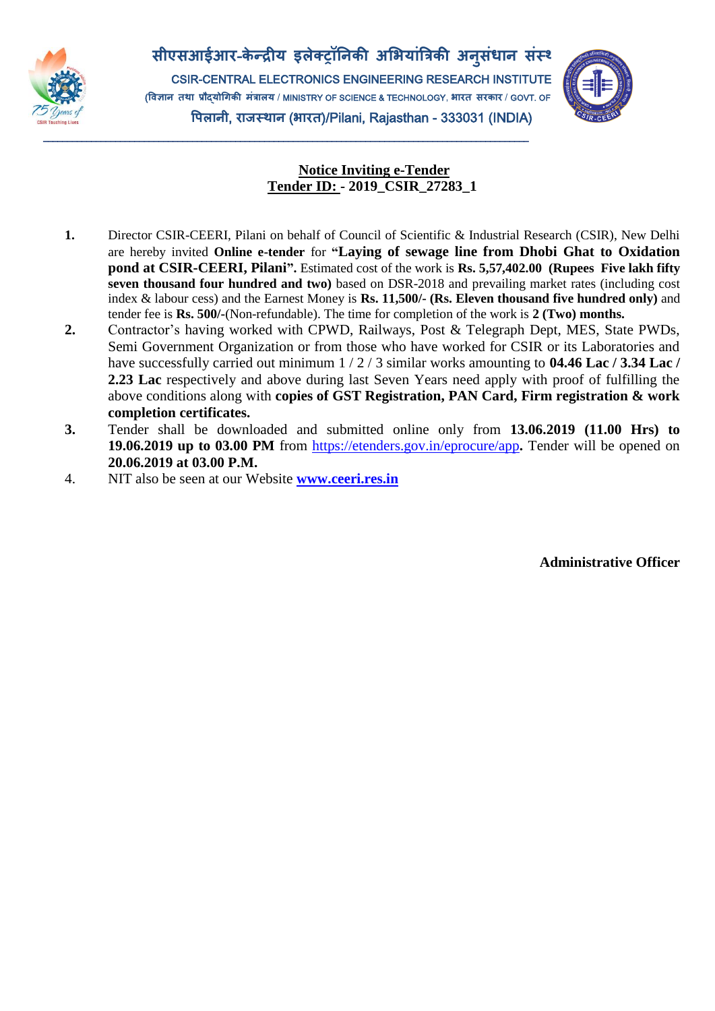

**सीएसआईआर**-**के न्द्रीय इलेक्ट्रॉनिकी अभियाांत्रिकी अि ुसांधाि सांस्थाि** CSIR-CENTRAL ELECTRONICS ENGINEERING RESEARCH INSTITUTE (**विज्ञाि्तथा्प्रौद्योगिकी्मांिालय** / MINISTRY OF SCIENCE & TECHNOLOGY, **िारत्सरकार** / GOVT. OF INDIA) **विलािी**, **राजस््थाि** (**िारत**)/Pilani, Rajasthan - 333031 (INDIA)

\_\_\_\_\_\_\_\_\_\_\_\_\_\_\_\_\_\_\_\_\_\_\_\_\_\_\_\_\_\_\_\_\_\_\_\_\_\_\_\_\_\_\_\_\_\_\_\_\_\_\_\_\_\_\_\_\_\_\_\_\_\_\_\_\_\_\_\_\_\_\_\_\_\_\_\_\_\_\_\_\_\_\_\_\_\_\_\_\_\_\_\_\_\_\_\_\_\_\_\_\_



## **Notice Inviting e-Tender Tender ID: - 2019\_CSIR\_27283\_1**

- **1.** Director CSIR-CEERI, Pilani on behalf of Council of Scientific & Industrial Research (CSIR), New Delhi are hereby invited **Online e-tender** for **"Laying of sewage line from Dhobi Ghat to Oxidation pond at CSIR-CEERI, Pilani".** Estimated cost of the work is **Rs. 5,57,402.00 (Rupees Five lakh fifty seven thousand four hundred and two)** based on DSR-2018 and prevailing market rates (including cost index & labour cess) and the Earnest Money is **Rs. 11,500/- (Rs. Eleven thousand five hundred only)** and tender fee is **Rs. 500/-**(Non-refundable). The time for completion of the work is **2 (Two) months.**
- **2.** Contractor's having worked with CPWD, Railways, Post & Telegraph Dept, MES, State PWDs, Semi Government Organization or from those who have worked for CSIR or its Laboratories and have successfully carried out minimum 1 / 2 / 3 similar works amounting to **04.46 Lac / 3.34 Lac / 2.23 Lac** respectively and above during last Seven Years need apply with proof of fulfilling the above conditions along with **copies of GST Registration, PAN Card, Firm registration & work completion certificates.**
- **3.** Tender shall be downloaded and submitted online only from **13.06.2019 (11.00 Hrs) to 19.06.2019 up to 03.00 PM** from<https://etenders.gov.in/eprocure/app>**.** Tender will be opened on **20.06.2019 at 03.00 P.M.**
- 4. NIT also be seen at our Website **[www.ceeri.res.in](http://www.ceeri.res.in/)**

**Administrative Officer**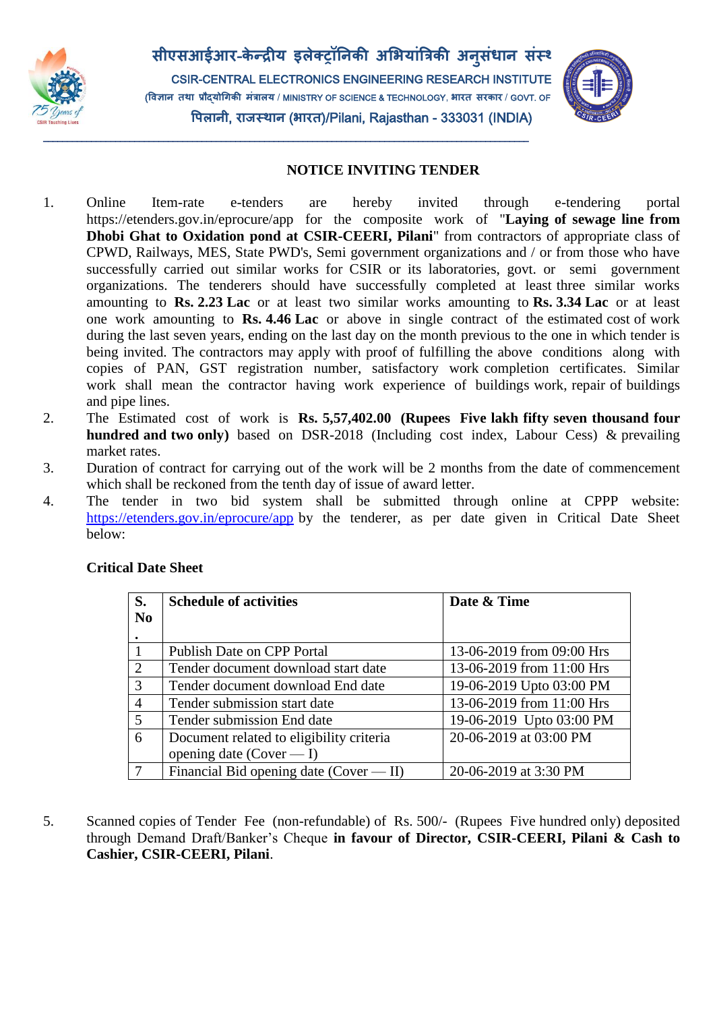

**सीएसआईआर**-**के न्द्रीय इलेक्ट्रॉनिकी अभियाांत्रिकी अि ुसांधाि सांस्थाि** CSIR-CENTRAL ELECTRONICS ENGINEERING RESEARCH INSTITUTE (**विज्ञाि्तथा्प्रौद्योगिकी्मांिालय** / MINISTRY OF SCIENCE & TECHNOLOGY, **िारत्सरकार** / GOVT. OF INDIA) **विलािी**, **राजस््थाि** (**िारत**)/Pilani, Rajasthan - 333031 (INDIA)

\_\_\_\_\_\_\_\_\_\_\_\_\_\_\_\_\_\_\_\_\_\_\_\_\_\_\_\_\_\_\_\_\_\_\_\_\_\_\_\_\_\_\_\_\_\_\_\_\_\_\_\_\_\_\_\_\_\_\_\_\_\_\_\_\_\_\_\_\_\_\_\_\_\_\_\_\_\_\_\_\_\_\_\_\_\_\_\_\_\_\_\_\_\_\_\_\_\_\_\_\_



## **NOTICE INVITING TENDER**

- 1. Online Item-rate e-tenders are hereby invited through e-tendering portal https://etenders.gov.in/eprocure/app for the composite work of "**Laying of sewage line from Dhobi Ghat to Oxidation pond at CSIR-CEERI, Pilani**" from contractors of appropriate class of CPWD, Railways, MES, State PWD's, Semi government organizations and / or from those who have successfully carried out similar works for CSIR or its laboratories, govt. or semi government organizations. The tenderers should have successfully completed at least three similar works amounting to **Rs. 2.23 Lac** or at least two similar works amounting to **Rs. 3.34 Lac** or at least one work amounting to **Rs. 4.46 Lac** or above in single contract of the estimated cost of work during the last seven years, ending on the last day on the month previous to the one in which tender is being invited. The contractors may apply with proof of fulfilling the above conditions along with copies of PAN, GST registration number, satisfactory work completion certificates. Similar work shall mean the contractor having work experience of buildings work, repair of buildings and pipe lines.
- 2. The Estimated cost of work is **Rs. 5,57,402.00 (Rupees Five lakh fifty seven thousand four hundred and two only)** based on DSR-2018 (Including cost index, Labour Cess) & prevailing market rates.
- 3. Duration of contract for carrying out of the work will be 2 months from the date of commencement which shall be reckoned from the tenth day of issue of award letter.
- 4. The tender in two bid system shall be submitted through online at CPPP website: <https://etenders.gov.in/eprocure/app> by the tenderer, as per date given in Critical Date Sheet below:

| S.             | <b>Schedule of activities</b>            | Date & Time               |
|----------------|------------------------------------------|---------------------------|
| N <sub>0</sub> |                                          |                           |
|                |                                          |                           |
|                | Publish Date on CPP Portal               | 13-06-2019 from 09:00 Hrs |
| 2              | Tender document download start date      | 13-06-2019 from 11:00 Hrs |
| 3              | Tender document download End date        | 19-06-2019 Upto 03:00 PM  |
| $\overline{4}$ | Tender submission start date             | 13-06-2019 from 11:00 Hrs |
| 5              | Tender submission End date               | 19-06-2019 Upto 03:00 PM  |
| 6              | Document related to eligibility criteria | 20-06-2019 at 03:00 PM    |
|                | opening date (Cover $- I$ )              |                           |
|                | Financial Bid opening date (Cover — II)  | 20-06-2019 at 3:30 PM     |

## **Critical Date Sheet**

5. Scanned copies of Tender Fee (non-refundable) of Rs. 500/- (Rupees Five hundred only) deposited through Demand Draft/Banker's Cheque **in favour of Director, CSIR-CEERI, Pilani & Cash to Cashier, CSIR-CEERI, Pilani**.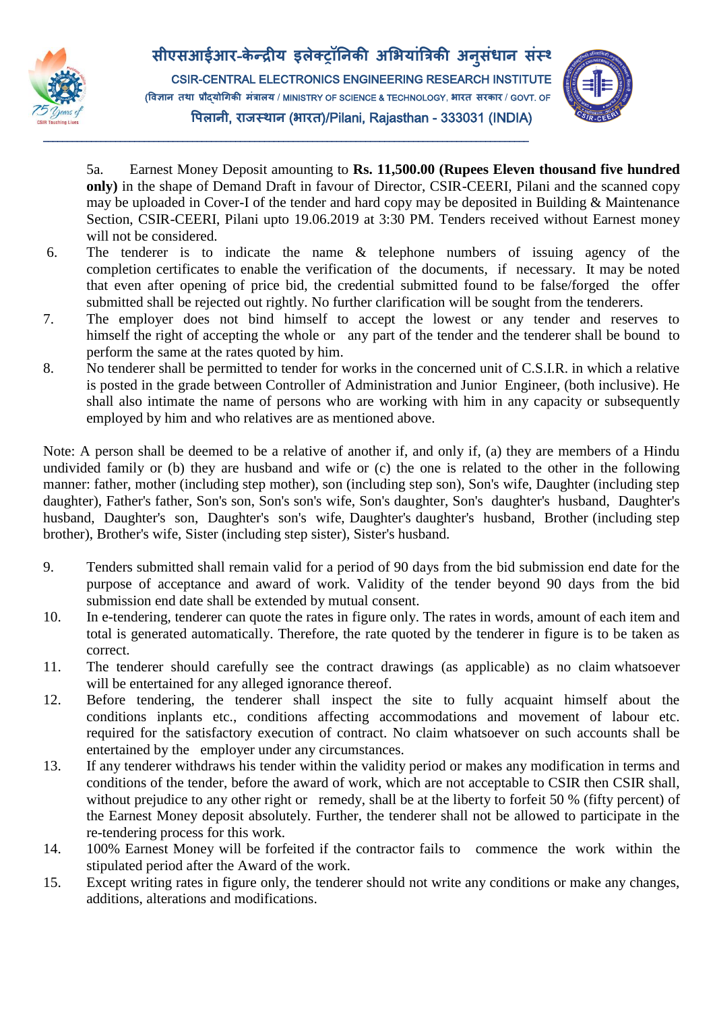

\_\_\_\_\_\_\_\_\_\_\_\_\_\_\_\_\_\_\_\_\_\_\_\_\_\_\_\_\_\_\_\_\_\_\_\_\_\_\_\_\_\_\_\_\_\_\_\_\_\_\_\_\_\_\_\_\_\_\_\_\_\_\_\_\_\_\_\_\_\_\_\_\_\_\_\_\_\_\_\_\_\_\_\_\_\_\_\_\_\_\_\_\_\_\_\_\_\_\_\_\_



5a. Earnest Money Deposit amounting to **Rs. 11,500.00 (Rupees Eleven thousand five hundred only)** in the shape of Demand Draft in favour of Director, CSIR-CEERI, Pilani and the scanned copy may be uploaded in Cover-I of the tender and hard copy may be deposited in Building & Maintenance Section, CSIR-CEERI, Pilani upto 19.06.2019 at 3:30 PM. Tenders received without Earnest money will not be considered.

- 6. The tenderer is to indicate the name & telephone numbers of issuing agency of the completion certificates to enable the verification of the documents, if necessary. It may be noted that even after opening of price bid, the credential submitted found to be false/forged the offer submitted shall be rejected out rightly. No further clarification will be sought from the tenderers.
- 7. The employer does not bind himself to accept the lowest or any tender and reserves to himself the right of accepting the whole or any part of the tender and the tenderer shall be bound to perform the same at the rates quoted by him.
- 8. No tenderer shall be permitted to tender for works in the concerned unit of C.S.I.R. in which a relative is posted in the grade between Controller of Administration and Junior Engineer, (both inclusive). He shall also intimate the name of persons who are working with him in any capacity or subsequently employed by him and who relatives are as mentioned above.

Note: A person shall be deemed to be a relative of another if, and only if, (a) they are members of a Hindu undivided family or (b) they are husband and wife or (c) the one is related to the other in the following manner: father, mother (including step mother), son (including step son), Son's wife, Daughter (including step daughter), Father's father, Son's son, Son's son's wife, Son's daughter, Son's daughter's husband, Daughter's husband, Daughter's son, Daughter's son's wife, Daughter's daughter's husband, Brother (including step brother), Brother's wife, Sister (including step sister), Sister's husband.

- 9. Tenders submitted shall remain valid for a period of 90 days from the bid submission end date for the purpose of acceptance and award of work. Validity of the tender beyond 90 days from the bid submission end date shall be extended by mutual consent.
- 10. In e-tendering, tenderer can quote the rates in figure only. The rates in words, amount of each item and total is generated automatically. Therefore, the rate quoted by the tenderer in figure is to be taken as correct.
- 11. The tenderer should carefully see the contract drawings (as applicable) as no claim whatsoever will be entertained for any alleged ignorance thereof.
- 12. Before tendering, the tenderer shall inspect the site to fully acquaint himself about the conditions inplants etc., conditions affecting accommodations and movement of labour etc. required for the satisfactory execution of contract. No claim whatsoever on such accounts shall be entertained by the employer under any circumstances.
- 13. If any tenderer withdraws his tender within the validity period or makes any modification in terms and conditions of the tender, before the award of work, which are not acceptable to CSIR then CSIR shall, without prejudice to any other right or remedy, shall be at the liberty to forfeit 50 % (fifty percent) of the Earnest Money deposit absolutely. Further, the tenderer shall not be allowed to participate in the re-tendering process for this work.
- 14. 100% Earnest Money will be forfeited if the contractor fails to commence the work within the stipulated period after the Award of the work.
- 15. Except writing rates in figure only, the tenderer should not write any conditions or make any changes, additions, alterations and modifications.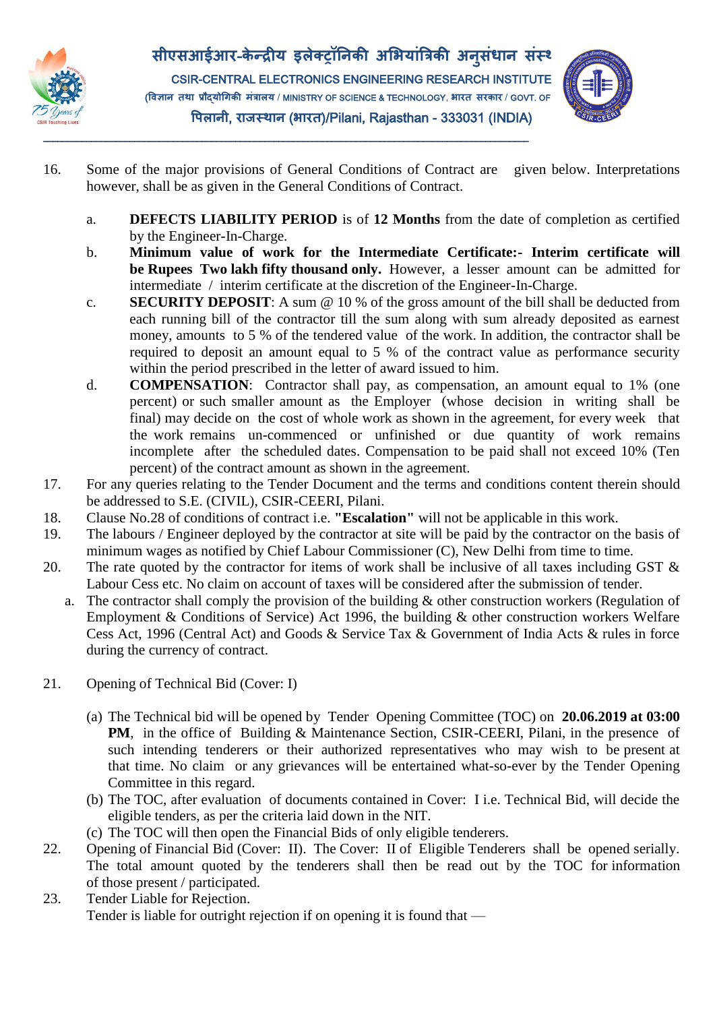



\_\_\_\_\_\_\_\_\_\_\_\_\_\_\_\_\_\_\_\_\_\_\_\_\_\_\_\_\_\_\_\_\_\_\_\_\_\_\_\_\_\_\_\_\_\_\_\_\_\_\_\_\_\_\_\_\_\_\_\_\_\_\_\_\_\_\_\_\_\_\_\_\_\_\_\_\_\_\_\_\_\_\_\_\_\_\_\_\_\_\_\_\_\_\_\_\_\_\_\_\_



- 16. Some of the major provisions of General Conditions of Contract are given below. Interpretations however, shall be as given in the General Conditions of Contract.
	- a. **DEFECTS LIABILITY PERIOD** is of **12 Months** from the date of completion as certified by the Engineer-In-Charge.
	- b. **Minimum value of work for the Intermediate Certificate:- Interim certificate will be Rupees Two lakh fifty thousand only.** However, a lesser amount can be admitted for intermediate / interim certificate at the discretion of the Engineer-In-Charge.
	- c. **SECURITY DEPOSIT**: A sum @ 10 % of the gross amount of the bill shall be deducted from each running bill of the contractor till the sum along with sum already deposited as earnest money, amounts to 5 % of the tendered value of the work. In addition, the contractor shall be required to deposit an amount equal to 5 % of the contract value as performance security within the period prescribed in the letter of award issued to him.
	- d. **COMPENSATION**: Contractor shall pay, as compensation, an amount equal to 1% (one percent) or such smaller amount as the Employer (whose decision in writing shall be final) may decide on the cost of whole work as shown in the agreement, for every week that the work remains un-commenced or unfinished or due quantity of work remains incomplete after the scheduled dates. Compensation to be paid shall not exceed 10% (Ten percent) of the contract amount as shown in the agreement.
- 17. For any queries relating to the Tender Document and the terms and conditions content therein should be addressed to S.E. (CIVIL), CSIR-CEERI, Pilani.
- 18. Clause No.28 of conditions of contract i.e. **"Escalation"** will not be applicable in this work.
- 19. The labours / Engineer deployed by the contractor at site will be paid by the contractor on the basis of minimum wages as notified by Chief Labour Commissioner (C), New Delhi from time to time.
- 20. The rate quoted by the contractor for items of work shall be inclusive of all taxes including GST  $\&$ Labour Cess etc. No claim on account of taxes will be considered after the submission of tender.
	- a. The contractor shall comply the provision of the building & other construction workers (Regulation of Employment & Conditions of Service) Act 1996, the building & other construction workers Welfare Cess Act, 1996 (Central Act) and Goods & Service Tax & Government of India Acts & rules in force during the currency of contract.
- 21. Opening of Technical Bid (Cover: I)
	- (a) The Technical bid will be opened by Tender Opening Committee (TOC) on **20.06.2019 at 03:00 PM**, in the office of Building & Maintenance Section, CSIR-CEERI, Pilani, in the presence of such intending tenderers or their authorized representatives who may wish to be present at that time. No claim or any grievances will be entertained what-so-ever by the Tender Opening Committee in this regard.
	- (b) The TOC, after evaluation of documents contained in Cover: I i.e. Technical Bid, will decide the eligible tenders, as per the criteria laid down in the NIT.
	- (c) The TOC will then open the Financial Bids of only eligible tenderers.
- 22. Opening of Financial Bid (Cover: II). The Cover: II of Eligible Tenderers shall be opened serially. The total amount quoted by the tenderers shall then be read out by the TOC for information of those present / participated.
- 23. Tender Liable for Rejection. Tender is liable for outright rejection if on opening it is found that —